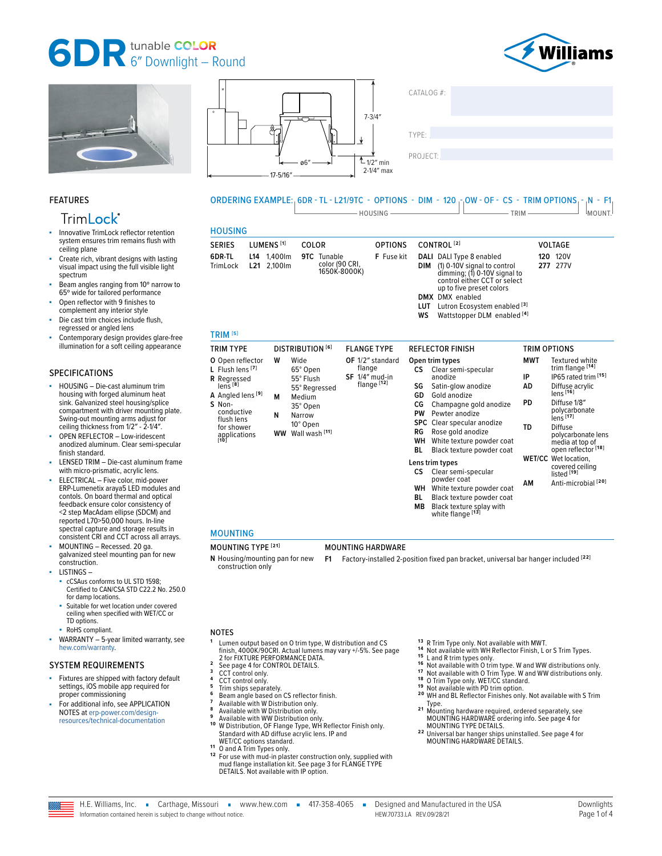# **6<sup>T</sup>** DR tunable **COLOR**



**120** 120V **277** 277V

trim flange **[14]**

polycarbonate lens **[17]**

polycarbonate lens media at top of open reflector **[18]**

covered ceiling listed **[19] AM** Anti-microbial **[20]**

**PD** Diffuse 1/8″

**WET/CC** Wet location,

**TD** Diffuse





**9TC** Tunable

35° Open **N** Narrow 10° Open **WW** Wall wash **[11]**

color (90 CRI,<br>1650K-8000K)



#### FEATURES

## Trim**Lock**®

- Innovative TrimLock reflector retention system ensures trim remains flush with ceiling plane
- Create rich, vibrant designs with lasting visual impact using the full visible light spectrum
- Beam angles ranging from 10° narrow to 65º wide for tailored performance
- Open reflector with 9 finishes to complement any interior style
- Die cast trim choices include flush, regressed or angled lens
- Contemporary design provides glare-free illumination for a soft ceiling appearance

#### SPECIFICATIONS

- HOUSING Die-cast aluminum trim housing with forged aluminum heat sink. Galvanized steel housing/splice compartment with driver mounting plate. Swing-out mounting arms adjust for ceiling thickness from 1/2″ - 2-1/4″.
- OPEN REFLECTOR Low-iridescent anodized aluminum. Clear semi-specular finish standard.
- LENSED TRIM Die-cast aluminum frame with micro-prismatic, acrylic lens.
- ELECTRICAL Five color, mid-power ERP-Lumenetix araya5 LED modules and contols. On board thermal and optical feedback ensure color consistency of <2 step MacAdam ellipse (SDCM) and reported L70>50,000 hours. In-line spectral capture and storage results in consistent CRI and CCT across all arrays.
- MOUNTING Recessed. 20 ga. galvanized steel mounting pan for new construction.
- LISTINGS
	- cCSAus conforms to UL STD 1598; Certified to CAN/CSA STD C22.2 No. 250.0 for damp locations.
	- Suitable for wet location under covered ceiling when specified with WET/CC or TD options.
- RoHS compliant.
- $WARRANTY 5-year limited warranty, see$ [hew.com/warranty.](https://www.hew.com/resources/warranty-and-terms)

#### SYSTEM REQUIREMENTS

- Fixtures are shipped with factory default settings, iOS mobile app required for proper commissioning
- For additional info, see APPLICATION NOTES at [erp-power.com/design](https://www.erp-power.com/design-resources/technical-documentation/)[resources/technical-documentation](https://www.erp-power.com/design-resources/technical-documentation/)

#### **WS** Wattstopper DLM enabled **[4]** TRIM TYPE DISTRIBUTION **[6]** FLANGE TYPE REFLECTOR FINISH TRIM OPTIONS **O** Open reflector **L** Flush lens **[7] A** Angled lens **[9] W** Wide 65° Open 55° Flush 55° Regressed **M** Medium **OF** 1/2″ standard flange **SF** 1/4″ mud-in flange **[12] Open trim types CS** Clear semi-specular anodize **SG** Satin-glow anodize **GD** Gold anodize<br>**CG** Champagne **MWT** Textured white **IP** IP65 rated trim **[15] AD** Diffuse acrylic lens **[16]**

SERIES LUMENS **[1]** COLOR OPTIONS CONTROL **[2]** VOLTAGE

ORDERING EXAMPLE: 6DR - TL - L21/9TC - OPTIONS - DIM - 120 - OW - OF - CS - TRIM OPTIONS - N - F1

<u>Housing and the set of the set of the set of the set of the set of the set of the set of the set of the set of the set of the set of the set of the set of the set of the set of the set of the set of the set of the set of </u>

**DIM** (1) 0-10V signal to control dimming; (1) 0-10V signal to control either CCT or select up to five preset colors

**LUT** Lutron Ecosystem enabled **[3]**

**CG** Champagne gold anodize **PW** Pewter anodize<br>**SPC** Clear specular a **SPC** Clear specular anodize<br>**RG** Rose gold anodize **RG** Rose gold anodize **WH** White texture powder coat **Black texture powder coat** 

**Lens trim types**

**CS** Clear semi-specular powder coat **WH** White texture powder coat<br>**BI** Black texture powder coat **Black texture powder coat MB** Black texture splay with white flange **[13]**

**F** Fuse kit **DALI** DALI Type 8 enabled

**DMX** DMX enabled

#### MOUNTING

HOUSING

**L14** 1,400lm **L21** 2,100lm

**6DR-TL** TrimLock

TRIM **[5]**

**R** Regressed lens **[8]**

**S** Nonconductive flush lens for shower applications **[10]**

### MOUNTING TYPE **[21]** MOUNTING HARDWARE

**N** Housing/mounting pan for new construction only **F1** Factory-installed 2-position fixed pan bracket, universal bar hanger included **[22]**

#### NOTES

- **<sup>1</sup>** Lumen output based on O trim type, W distribution and CS finish, 4000K/90CRI. Actual lumens may vary +/-5%. See page<br> [2 for FIXTURE PERFORMANCE DATA.](#page-1-0)<br>
2 see page 4 for CONTROL DETAILS.<br>
3 CCT control only.<br>
4 CCT control only.<br>
5 Trim ships separately.<br>
5 Tim ships separately.<br>
- 
- 
- 
- 
- 
- 
- 
- Standard With AD diffuse acrylic lens. With Postribution, OF Flange Type, WH Reflector Finish only.<br>Standard with AD diffuse acrylic lens. IP and<br>WET/CC options standard.
- 
- 11 O and A Trim Types only.<br><sup>12</sup> For use with mud-in plaster construction only, supplied with mud flange installation kit. [See page 3 for FLANGE TYPE](#page-2-0)  [DETAILS.](#page-2-0) Not available with IP option.
- 
- 
- 
- 
- 
- 
- <sup>13</sup> R Trim Type only. Not available with MWT.<br><sup>14</sup> Not available with WH Reflector Finish, L or S Trim Types.<br><sup>15</sup> L and R trim types only.<br><sup>15</sup> Not available with O Trim Type. W and WW distributions only.<br><sup>17</sup> Not avail Type. **2 1** Mounting hardware required, ordered separately, see
- MOUNTING HARDWARE ordering info. [See page 4 for](#page-3-1)
- [MOUNTING TYPE DETAILS.](#page-3-1) **2 2** Universal bar hanger ships uninstalled. [See page 4 for](#page-3-2)  [MOUNTING HARDWARE DETAILS.](#page-3-2)

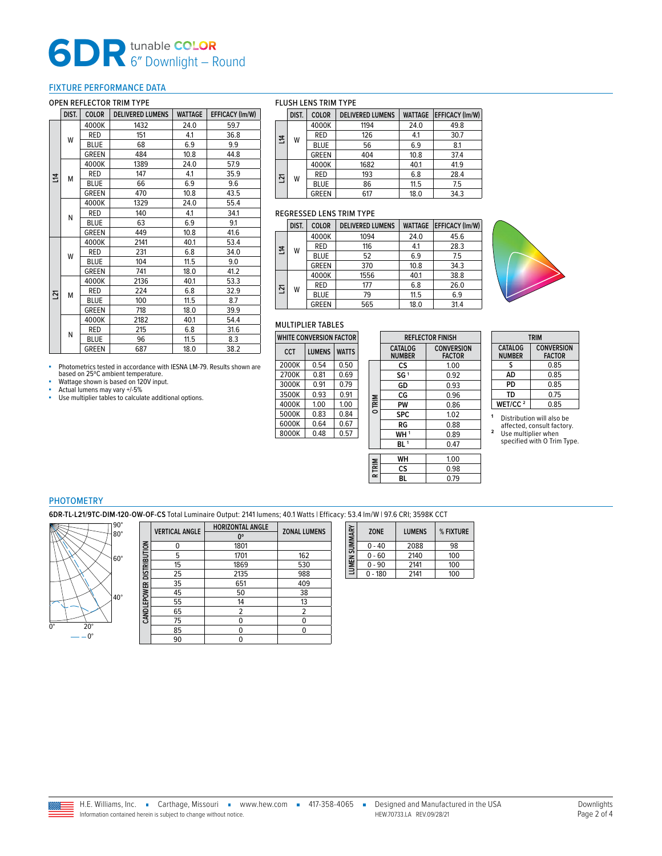# **6DR** 6″ Downlight – Round

#### <span id="page-1-0"></span>FIXTURE PERFORMANCE DATA

#### OPEN REFLECTOR TRIM TYPE

|    | DIST. | <b>COLOR</b> | <b>DELIVERED LUMENS</b> | <b>WATTAGE</b> | EFFICACY (Im/W) |
|----|-------|--------------|-------------------------|----------------|-----------------|
|    |       | 4000K        | 1432                    | 24.0           | 59.7            |
|    | W     | <b>RED</b>   | 151                     | 4.1            | 36.8            |
|    |       | <b>BLUE</b>  | 68                      | 6.9            | 9.9             |
| 궄  |       | <b>GREEN</b> | 484                     | 10.8           | 44.8            |
|    |       | 4000K        | 1389                    | 24.0           | 57.9            |
|    | м     | <b>RED</b>   | 147                     | 4.1            | 35.9            |
|    |       | <b>BLUE</b>  | 66                      | 6.9            | 9.6             |
|    |       | <b>GREEN</b> | 470                     | 10.8           | 43.5            |
|    | N     | 4000K        | 1329                    | 24.0           | 55.4            |
|    |       | <b>RED</b>   | 140                     | 4.1            | 34.1            |
|    |       | <b>BLUE</b>  | 63                      | 6.9            | 9.1             |
|    |       | <b>GREEN</b> | 449                     | 10.8           | 41.6            |
|    | W     | 4000K        | 2141                    | 40.1           | 53.4            |
|    |       | <b>RED</b>   | 231                     | 6.8            | 34.0            |
|    |       | <b>BLUE</b>  | 104                     | 11.5           | 9.0             |
|    |       | <b>GREEN</b> | 741                     | 18.0           | 41.2            |
|    |       | 4000K        | 2136                    | 40.1           | 53.3            |
| 21 | М     | <b>RED</b>   | 224                     | 6.8            | 32.9            |
|    |       | <b>BLUE</b>  | 100                     | 11.5           | 8.7             |
|    |       | <b>GREEN</b> | 718                     | 18.0           | 39.9            |
|    |       | 4000K        | 2182                    | 40.1           | 54.4            |
|    | N     | <b>RED</b>   | 215                     | 6.8            | 31.6            |
|    |       | <b>BLUE</b>  | 96                      | 11.5           | 8.3             |
|    |       | <b>GREEN</b> | 687                     | 18.0           | 38.2            |

■ Photometrics tested in accordance with IESNA LM-79. Results shown are based on 25ºC ambient temperature.

 $\overline{\phantom{0}}$ 

**Wattage shown is based on 120V input.**<br> **Actual lumens may vary +/-5%** ■ Actual lumens may vary +/-5%<br>■ Use multiplier tables to calculate additional options.

#### FLUSH LENS TRIM TYPE

|                | DIST. | <b>COLOR</b> | <b>DELIVERED LUMENS</b> | <b>WATTAGE</b> | <b>EFFICACY (Im/W)</b> |
|----------------|-------|--------------|-------------------------|----------------|------------------------|
| $\overline{a}$ | W     | 4000K        | 1194                    | 24.0           | 49.8                   |
|                |       | <b>RED</b>   | 126                     | 4.1            | 30.7                   |
|                |       | <b>BLUE</b>  | 56                      | 6.9            | 8.1                    |
|                |       | <b>GREEN</b> | 404                     | 10.8           | 37.4                   |
| ř              | W     | 4000K        | 1682                    | 40.1           | 41.9                   |
|                |       | <b>RED</b>   | 193                     | 6.8            | 28.4                   |
|                |       | <b>BLUE</b>  | 86                      | 11.5           | 7.5                    |
|                |       | <b>GREEN</b> | 617                     | 18.0           | 34.3                   |

#### REGRESSED LENS TRIM TYPE

|    | <b>COLOR</b><br>DIST.<br>4000K<br><b>RED</b><br>W<br><b>BLUE</b><br><b>GREEN</b> |              | <b>DELIVERED LUMENS</b> | <b>WATTAGE</b> | <b>EFFICACY (Im/W)</b> |  |
|----|----------------------------------------------------------------------------------|--------------|-------------------------|----------------|------------------------|--|
| 14 |                                                                                  |              | 1094                    | 24.0           | 45.6                   |  |
|    |                                                                                  |              | 116                     | 4.1            | 28.3                   |  |
|    |                                                                                  |              | 52                      | 6.9            | 7.5                    |  |
|    |                                                                                  |              | 370                     | 10.8           | 34.3                   |  |
|    | W                                                                                | 4000K        | 1556                    | 40.1           | 38.8                   |  |
| ř  |                                                                                  | <b>RED</b>   | 177                     | 6.8            | 26.0                   |  |
|    |                                                                                  | <b>BLUE</b>  | 79                      | 11.5           | 6.9                    |  |
|    |                                                                                  | <b>GREEN</b> | 565                     | 18.0           | 31.4                   |  |



#### MULTIPLIER TABLES

| <b>WHITE CONVERSION FACTOR</b> |               |              |  |  |  |  |  |
|--------------------------------|---------------|--------------|--|--|--|--|--|
| CCT                            | <b>LUMENS</b> | <b>WATTS</b> |  |  |  |  |  |
| 2000K                          | 0.54          | 0.50         |  |  |  |  |  |
| 2700K                          | 0.81          | 0.69         |  |  |  |  |  |
| 3000K                          | 0.91          | 0.79         |  |  |  |  |  |
| 3500K                          | 0.93          | 0.91         |  |  |  |  |  |
| 4000K                          | 1.00          | 1.00         |  |  |  |  |  |
| 5000K                          | 0.83          | 0.84         |  |  |  |  |  |
| 6000K                          | 0.64          | 0.67         |  |  |  |  |  |
| 8000K                          | 048           | 0.57         |  |  |  |  |  |

|               |                          | <b>REFLECTOR FINISH</b>            |  |
|---------------|--------------------------|------------------------------------|--|
|               | CATALOG<br><b>NUMBER</b> | <b>CONVERSION</b><br><b>FACTOR</b> |  |
|               | сs                       | 1.00                               |  |
| <b>O TRIM</b> | SG <sup>1</sup>          | 0.92                               |  |
|               | GD                       | 0.93                               |  |
|               | CG                       | 0.96                               |  |
|               | PW                       | 0.86                               |  |
|               | <b>SPC</b>               | 1.02                               |  |
|               | RG                       | 0.88                               |  |
|               | WH <sup>1</sup>          | 0.89                               |  |
|               | BL <sup>1</sup>          | 0.47                               |  |
|               |                          |                                    |  |
|               | WH                       | 1.00                               |  |
| R TRIM        | CS                       | 0.98                               |  |
|               | вL                       | 0.79                               |  |

| <b>TRIM</b>                     |                                    |  |  |  |
|---------------------------------|------------------------------------|--|--|--|
| <b>CATALOG</b><br><b>NUMBER</b> | <b>CONVERSION</b><br><b>FACTOR</b> |  |  |  |
| s                               | 0.85                               |  |  |  |
| AD                              | 0.85                               |  |  |  |
| PD                              | 0.85                               |  |  |  |
| TD                              | 0.75                               |  |  |  |
| WET/CC <sup>2</sup>             | 0.85                               |  |  |  |

**<sup>1</sup>** Distribution will also be affected, consult factory. **<sup>2</sup>** Use multiplier when specified with O Trim Type.

#### PHOTOMETRY

**6DR-TL-L21/9TC-DIM-120-OW-OF-CS** Total Luminaire Output: 2141 lumens; 40.1 Watts | Efficacy: 53.4 lm/W | 97.6 CRI; 3598K CCT



|                          | <b>VERTICAL ANGLE</b> | HORIZONTAL ANGLE | <b>ZONAL LUMENS</b> |
|--------------------------|-----------------------|------------------|---------------------|
|                          |                       | $0^{\circ}$      |                     |
|                          |                       | 1801             |                     |
|                          | 5                     | 1701             | 162                 |
|                          | 15                    | 1869             | 530                 |
|                          | 25                    | 2135             | 988                 |
|                          | 35                    | 651              | 409                 |
|                          | 45                    | 50               | 38                  |
| CANDLEPOWER DISTRIBUTION | 55                    | 14               | 13                  |
|                          | 65                    | 2                | 2                   |
|                          | 75                    | 0                | 0                   |
|                          | 85                    | 0                | 0                   |
|                          | 90                    |                  |                     |

| LUMEN SUMMARY | <b>ZONE</b> | <b>LUMENS</b> | % FIXTURE |
|---------------|-------------|---------------|-----------|
|               | $0 - 40$    | 2088          | 98        |
|               | $0 - 60$    | 2140          | 100       |
|               | $0 - 90$    | 2141          | 100       |
|               | $0 - 180$   | 2141          | 100       |

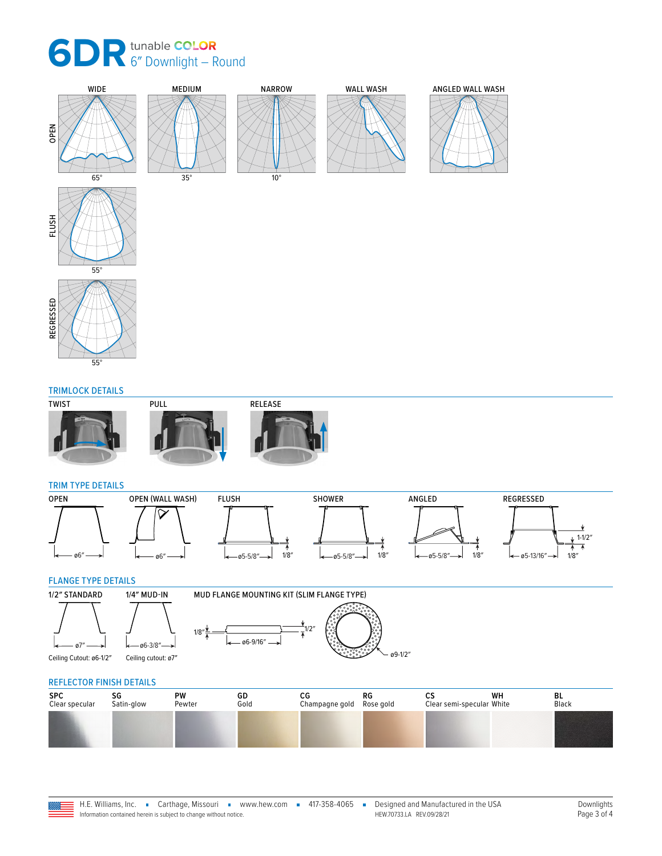





#### TRIMLOCK DETAILS







#### TRIM TYPE DETAILS



#### <span id="page-2-0"></span>FLANGE TYPE DETAILS





ø6-3/8″

| <b>REFLECTOR FINISH DETAILS</b> |                  |              |            |                      |                 |                                 |    |             |  |
|---------------------------------|------------------|--------------|------------|----------------------|-----------------|---------------------------------|----|-------------|--|
| <b>SPC</b><br>Clear specular    | SG<br>Satin-glow | PW<br>Pewter | GD<br>Gold | СG<br>Champagne gold | RG<br>Rose gold | cs<br>Clear semi-specular White | WH | BL<br>Black |  |
|                                 |                  |              |            |                      |                 |                                 |    |             |  |